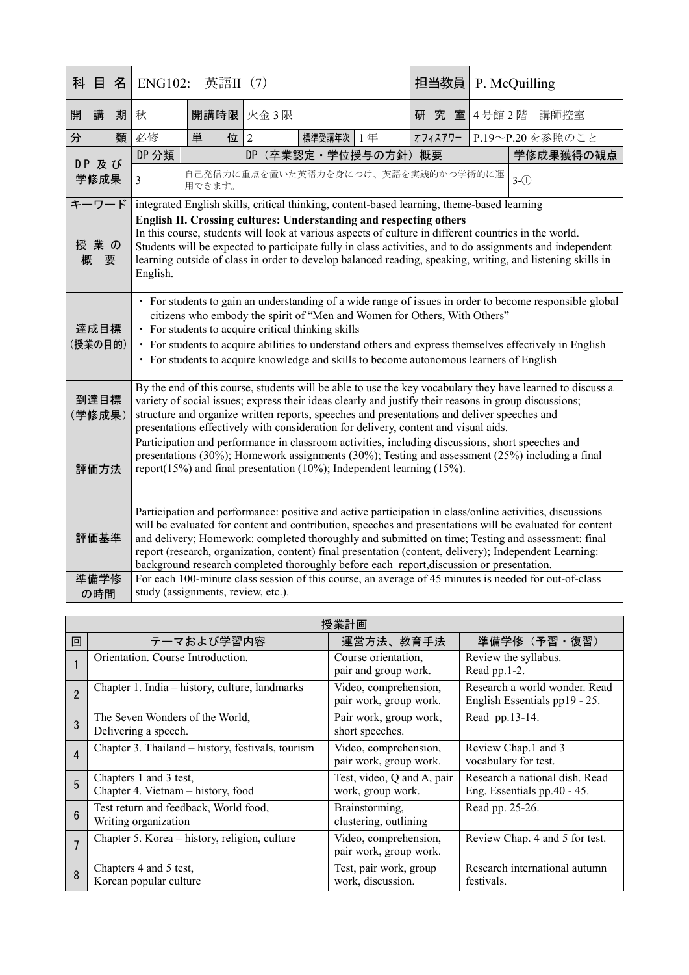| 科               | 目             | 名 | <b>ENG102:</b>                                                                                                                                                                                                                                                                                                                                                                                                                                                                                                                  | 英語II (7)                                                                                   |                |           |                      | 担当教員    |  |  | P. McQuilling   |
|-----------------|---------------|---|---------------------------------------------------------------------------------------------------------------------------------------------------------------------------------------------------------------------------------------------------------------------------------------------------------------------------------------------------------------------------------------------------------------------------------------------------------------------------------------------------------------------------------|--------------------------------------------------------------------------------------------|----------------|-----------|----------------------|---------|--|--|-----------------|
| 開               | 講             | 期 | 秋                                                                                                                                                                                                                                                                                                                                                                                                                                                                                                                               | 開講時限 火金3限                                                                                  |                |           |                      | 研究室     |  |  | 4号館2階 講師控室      |
| 分               |               | 類 | 必修                                                                                                                                                                                                                                                                                                                                                                                                                                                                                                                              | 位<br>単                                                                                     | $\overline{2}$ | 標準受講年次 1年 |                      | オフィスアワー |  |  | P.19~P.20を参照のこと |
|                 | DP 及び<br>学修成果 |   | DP 分類                                                                                                                                                                                                                                                                                                                                                                                                                                                                                                                           |                                                                                            |                |           | DP (卒業認定·学位授与の方針) 概要 |         |  |  | 学修成果獲得の観点       |
|                 |               |   | $\overline{3}$                                                                                                                                                                                                                                                                                                                                                                                                                                                                                                                  | 自己発信力に重点を置いた英語力を身につけ、英語を実践的かつ学術的に運<br>用できます。                                               |                |           |                      |         |  |  | $3-(1)$         |
|                 | キーワード         |   |                                                                                                                                                                                                                                                                                                                                                                                                                                                                                                                                 | integrated English skills, critical thinking, content-based learning, theme-based learning |                |           |                      |         |  |  |                 |
| 授業の<br>概<br>要   |               |   | English II. Crossing cultures: Understanding and respecting others<br>In this course, students will look at various aspects of culture in different countries in the world.<br>Students will be expected to participate fully in class activities, and to do assignments and independent<br>learning outside of class in order to develop balanced reading, speaking, writing, and listening skills in<br>English.                                                                                                              |                                                                                            |                |           |                      |         |  |  |                 |
| 達成目標<br>(授業の目的) |               |   | · For students to gain an understanding of a wide range of issues in order to become responsible global<br>citizens who embody the spirit of "Men and Women for Others, With Others"<br>• For students to acquire critical thinking skills<br>· For students to acquire abilities to understand others and express themselves effectively in English<br>• For students to acquire knowledge and skills to become autonomous learners of English                                                                                 |                                                                                            |                |           |                      |         |  |  |                 |
| 到達目標<br>(学修成果)  |               |   | By the end of this course, students will be able to use the key vocabulary they have learned to discuss a<br>variety of social issues; express their ideas clearly and justify their reasons in group discussions;<br>structure and organize written reports, speeches and presentations and deliver speeches and<br>presentations effectively with consideration for delivery, content and visual aids.                                                                                                                        |                                                                                            |                |           |                      |         |  |  |                 |
| 評価方法            |               |   | Participation and performance in classroom activities, including discussions, short speeches and<br>presentations (30%); Homework assignments (30%); Testing and assessment (25%) including a final<br>report(15%) and final presentation (10%); Independent learning (15%).                                                                                                                                                                                                                                                    |                                                                                            |                |           |                      |         |  |  |                 |
|                 | 評価基準          |   | Participation and performance: positive and active participation in class/online activities, discussions<br>will be evaluated for content and contribution, speeches and presentations will be evaluated for content<br>and delivery; Homework: completed thoroughly and submitted on time; Testing and assessment: final<br>report (research, organization, content) final presentation (content, delivery); Independent Learning:<br>background research completed thoroughly before each report, discussion or presentation. |                                                                                            |                |           |                      |         |  |  |                 |
|                 | 準備学修<br>の時間   |   | For each 100-minute class session of this course, an average of 45 minutes is needed for out-of-class<br>study (assignments, review, etc.).                                                                                                                                                                                                                                                                                                                                                                                     |                                                                                            |                |           |                      |         |  |  |                 |

| 授業計画            |                                                               |                                                 |                                                                |  |  |
|-----------------|---------------------------------------------------------------|-------------------------------------------------|----------------------------------------------------------------|--|--|
| 回               | テーマおよび学習内容                                                    | 運営方法、教育手法                                       | 準備学修 (予習·復習)                                                   |  |  |
|                 | Orientation. Course Introduction.                             | Course orientation,<br>pair and group work.     | Review the syllabus.<br>Read pp.1-2.                           |  |  |
| $\overline{2}$  | Chapter 1. India – history, culture, landmarks                | Video, comprehension,<br>pair work, group work. | Research a world wonder. Read<br>English Essentials pp19 - 25. |  |  |
| 3               | The Seven Wonders of the World,<br>Delivering a speech.       | Pair work, group work,<br>short speeches.       | Read pp.13-14.                                                 |  |  |
| $\overline{4}$  | Chapter 3. Thailand – history, festivals, tourism             | Video, comprehension,<br>pair work, group work. | Review Chap.1 and 3<br>vocabulary for test.                    |  |  |
| 5               | Chapters 1 and 3 test,<br>Chapter 4. Vietnam - history, food  | Test, video, Q and A, pair<br>work, group work. | Research a national dish. Read<br>Eng. Essentials pp.40 - 45.  |  |  |
| $6\overline{6}$ | Test return and feedback, World food,<br>Writing organization | Brainstorming,<br>clustering, outlining         | Read pp. 25-26.                                                |  |  |
| $\overline{7}$  | Chapter 5. Korea - history, religion, culture                 | Video, comprehension,<br>pair work, group work. | Review Chap. 4 and 5 for test.                                 |  |  |
| 8               | Chapters 4 and 5 test,<br>Korean popular culture              | Test, pair work, group<br>work, discussion.     | Research international autumn<br>festivals.                    |  |  |